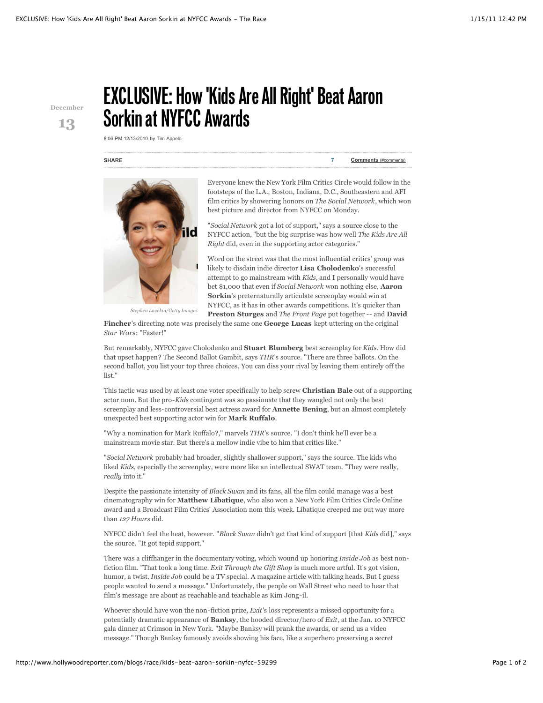## **December 13**

## **EXCLUSIVE: How 'Kids Are All Right' Beat Aaron Sorkin at NYFCC Awards**

8:06 PM 12/13/2010 by Tim Appelo

## **SHARE 7 Comments** (#comments)



Everyone knew the New York Film Critics Circle would follow in the footsteps of the L.A., Boston, Indiana, D.C., Southeastern and AFI film critics by showering honors on *The Social Network*, which won best picture and director from NYFCC on Monday.

"*Social Network* got a lot of support," says a source close to the NYFCC action, "but the big surprise was how well *The Kids Are All Right* did, even in the supporting actor categories."

Word on the street was that the most influential critics' group was likely to disdain indie director **Lisa Cholodenko**'s successful attempt to go mainstream with *Kids*, and I personally would have bet \$1,000 that even if *Social Network* won nothing else, **Aaron Sorkin**'s preternaturally articulate screenplay would win at NYFCC, as it has in other awards competitions. It's quicker than **Preston Sturges** and *The Front Page* put together -- and **David**

**Fincher**'s directing note was precisely the same one **George Lucas** kept uttering on the original *Star Wars*: "Faster!"

But remarkably, NYFCC gave Cholodenko and **Stuart Blumberg** best screenplay for *Kids*. How did that upset happen? The Second Ballot Gambit, says *THR*'s source. "There are three ballots. On the second ballot, you list your top three choices. You can diss your rival by leaving them entirely off the list."

This tactic was used by at least one voter specifically to help screw **Christian Bale** out of a supporting actor nom. But the pro-*Kids* contingent was so passionate that they wangled not only the best screenplay and less-controversial best actress award for **Annette Bening**, but an almost completely unexpected best supporting actor win for **Mark Ruffalo**.

"Why a nomination for Mark Ruffalo?," marvels *THR*'s source. "I don't think he'll ever be a mainstream movie star. But there's a mellow indie vibe to him that critics like."

"*Social Network* probably had broader, slightly shallower support," says the source. The kids who liked *Kids*, especially the screenplay, were more like an intellectual SWAT team. "They were really, *really* into it."

Despite the passionate intensity of *Black Swan* and its fans, all the film could manage was a best cinematography win for **Matthew Libatique**, who also won a New York Film Critics Circle Online award and a Broadcast Film Critics' Association nom this week. Libatique creeped me out way more than *127 Hours* did.

NYFCC didn't feel the heat, however. "*Black Swan* didn't get that kind of support [that *Kids* did]," says the source. "It got tepid support."

There was a cliffhanger in the documentary voting, which wound up honoring *Inside Job* as best nonfiction film. "That took a long time. *Exit Through the Gift Shop* is much more artful. It's got vision, humor, a twist. *Inside Job* could be a TV special. A magazine article with talking heads. But I guess people wanted to send a message." Unfortunately, the people on Wall Street who need to hear that film's message are about as reachable and teachable as Kim Jong-il.

Whoever should have won the non-fiction prize, *Exit'*s loss represents a missed opportunity for a potentially dramatic appearance of **Banksy**, the hooded director/hero of *Exit*, at the Jan. 10 NYFCC gala dinner at Crimson in New York. "Maybe Banksy will prank the awards, or send us a video message." Though Banksy famously avoids showing his face, like a superhero preserving a secret